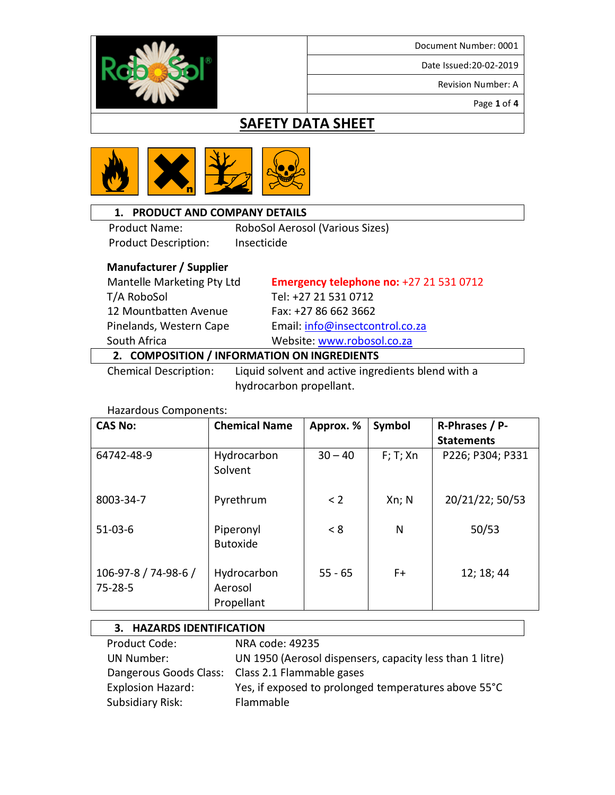Date Issued:20-02-2019

Revision Number: A

Page **1** of **4**

### **SAFETY DATA SHEET**



#### **1. PRODUCT AND COMPANY DETAILS**

Product Name: RoboSol Aerosol (Various Sizes) Product Description: Insecticide

#### **Manufacturer / Supplier**

 T/A RoboSol Tel: +27 21 531 0712 12 Mountbatten Avenue Fax: +27 86 662 3662

Mantelle Marketing Pty Ltd **Emergency telephone no:** +27 21 531 0712 Pinelands, Western Cape Email[: info@insectcontrol.co.za](mailto:info@insectcontrol.co.za) South Africa Website[: www.robosol.co.za](http://www.robosol.co.za/)

#### **2. COMPOSITION / INFORMATION ON INGREDIENTS**

 Chemical Description: Liquid solvent and active ingredients blend with a hydrocarbon propellant.

| <b>CAS No:</b>                        | <b>Chemical Name</b>                 | Approx. % | Symbol      | R-Phrases / P-    |
|---------------------------------------|--------------------------------------|-----------|-------------|-------------------|
|                                       |                                      |           |             | <b>Statements</b> |
| 64742-48-9                            | Hydrocarbon<br>Solvent               | $30 - 40$ | $F$ ; T; Xn | P226; P304; P331  |
| 8003-34-7                             | Pyrethrum                            | < 2       | Xn; N       | 20/21/22; 50/53   |
| $51-03-6$                             | Piperonyl<br><b>Butoxide</b>         | < 8       | N           | 50/53             |
| 106-97-8 / 74-98-6 /<br>$75 - 28 - 5$ | Hydrocarbon<br>Aerosol<br>Propellant | $55 - 65$ | F+          | 12; 18; 44        |

#### **3. HAZARDS IDENTIFICATION** Product Code: NRA code: 49235 UN Number: UN 1950 (Aerosol dispensers, capacity less than 1 litre) Dangerous Goods Class: Class 2.1 Flammable gases Explosion Hazard: Yes, if exposed to prolonged temperatures above 55°C Subsidiary Risk: Flammable

#### Hazardous Components:

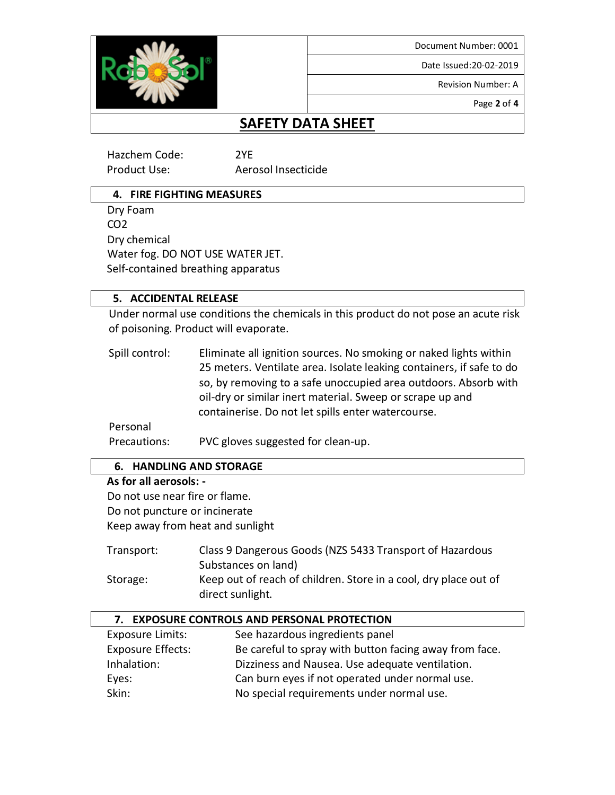Date Issued:20-02-2019

Revision Number: A

Page **2** of **4**

# **SAFETY DATA SHEET**

Hazchem Code: 2YE

Product Use: Aerosol Insecticide

#### **4. FIRE FIGHTING MEASURES**

 Dry Foam CO2 Dry chemical Water fog. DO NOT USE WATER JET. Self-contained breathing apparatus

#### **5. ACCIDENTAL RELEASE**

Under normal use conditions the chemicals in this product do not pose an acute risk of poisoning. Product will evaporate.

Spill control: Eliminate all ignition sources. No smoking or naked lights within 25 meters. Ventilate area. Isolate leaking containers, if safe to do so, by removing to a safe unoccupied area outdoors. Absorb with oil-dry or similar inert material. Sweep or scrape up and containerise. Do not let spills enter watercourse.

Personal

Precautions: PVC gloves suggested for clean-up.

#### **6. HANDLING AND STORAGE**

#### **As for all aerosols: -**

 Do not use near fire or flame. Do not puncture or incinerate Keep away from heat and sunlight

| Transport: | Class 9 Dangerous Goods (NZS 5433 Transport of Hazardous         |
|------------|------------------------------------------------------------------|
|            | Substances on land)                                              |
| Storage:   | Keep out of reach of children. Store in a cool, dry place out of |
|            | direct sunlight.                                                 |

| 7. EXPOSURE CONTROLS AND PERSONAL PROTECTION |                                                        |  |
|----------------------------------------------|--------------------------------------------------------|--|
| <b>Exposure Limits:</b>                      | See hazardous ingredients panel                        |  |
| <b>Exposure Effects:</b>                     | Be careful to spray with button facing away from face. |  |
| Inhalation:                                  | Dizziness and Nausea. Use adequate ventilation.        |  |
| Eyes:                                        | Can burn eyes if not operated under normal use.        |  |
| Skin:                                        | No special requirements under normal use.              |  |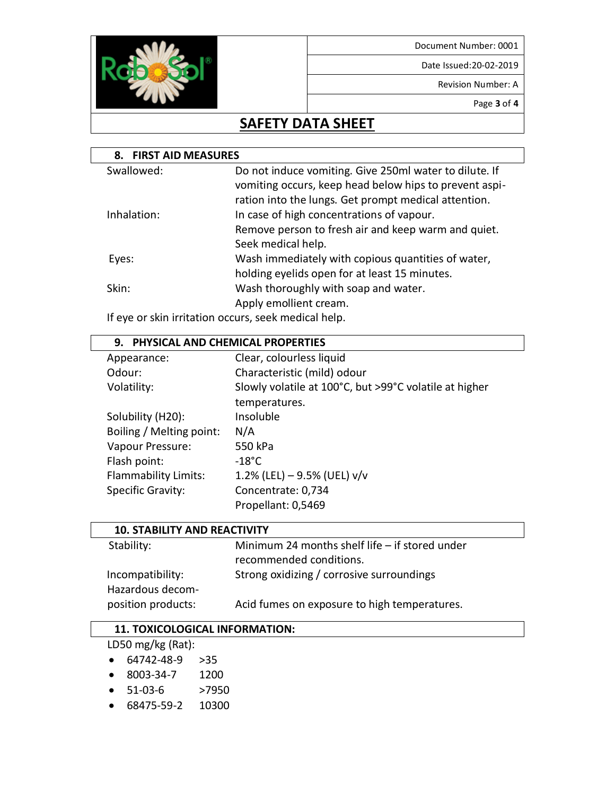Date Issued:20-02-2019

Revision Number: A

Page **3** of **4**

### **SAFETY DATA SHEET**

| <b>FIRST AID MEASURES</b><br>8. |                                                                                                                                                                          |  |
|---------------------------------|--------------------------------------------------------------------------------------------------------------------------------------------------------------------------|--|
| Swallowed:                      | Do not induce vomiting. Give 250ml water to dilute. If<br>vomiting occurs, keep head below hips to prevent aspi-<br>ration into the lungs. Get prompt medical attention. |  |
| Inhalation:                     | In case of high concentrations of vapour.<br>Remove person to fresh air and keep warm and quiet.<br>Seek medical help.                                                   |  |
| Eyes:                           | Wash immediately with copious quantities of water,<br>holding eyelids open for at least 15 minutes.                                                                      |  |
| Skin:                           | Wash thoroughly with soap and water.<br>Apply emollient cream.                                                                                                           |  |

If eye or skin irritation occurs, seek medical help.

#### **9. PHYSICAL AND CHEMICAL PROPERTIES** Appearance: Clear, colourless liquid Odour: Characteristic (mild) odour Volatility: Slowly volatile at 100°C, but >99°C volatile at higher temperatures. Solubility (H20): Insoluble Boiling / Melting point: N/A Vapour Pressure: 550 kPa Flash point: -18°C Flammability Limits:  $1.2\%$  (LEL) – 9.5% (UEL) v/v Specific Gravity: Concentrate: 0,734 Propellant: 0,5469

| <b>10. STABILITY AND REACTIVITY</b>  |                                                                             |  |
|--------------------------------------|-----------------------------------------------------------------------------|--|
| Stability:                           | Minimum 24 months shelf life $-$ if stored under<br>recommended conditions. |  |
| Incompatibility:<br>Hazardous decom- | Strong oxidizing / corrosive surroundings                                   |  |
| position products:                   | Acid fumes on exposure to high temperatures.                                |  |

#### **11. TOXICOLOGICAL INFORMATION:**

LD50 mg/kg (Rat):

- 64742-48-9 >35
- 8003-34-7 1200
- 51-03-6 >7950
- 68475-59-2 10300